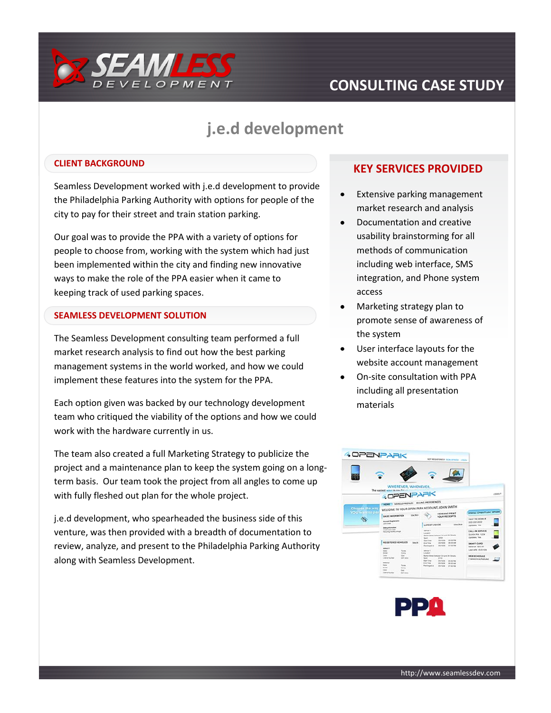

# **CONSULTING CASE STUDY**

# **j.e.d development**

#### **CLIENT BACKGROUND**

Seamless Development worked with j.e.d development to provide the Philadelphia Parking Authority with options for people of the city to pay for their street and train station parking.

Our goal was to provide the PPA with a variety of options for people to choose from, working with the system which had just been implemented within the city and finding new innovative ways to make the role of the PPA easier when it came to keeping track of used parking spaces.

#### **SEAMLESS DEVELOPMENT SOLUTION**

The Seamless Development consulting team performed a full market research analysis to find out how the best parking management systems in the world worked, and how we could implement these features into the system for the PPA.

Each option given was backed by our technology development team who critiqued the viability of the options and how we could work with the hardware currently in us.

The team also created a full Marketing Strategy to publicize the project and a maintenance plan to keep the system going on a longterm basis. Our team took the project from all angles to come up with fully fleshed out plan for the whole project.

j.e.d development, who spearheaded the business side of this venture, was then provided with a breadth of documentation to review, analyze, and present to the Philadelphia Parking Authority along with Seamless Development.

### **KEY SERVICES PROVIDED**

- Extensive parking management market research and analysis
- Documentation and creative usability brainstorming for all methods of communication including web interface, SMS integration, and Phone system access
- Marketing strategy plan to promote sense of awareness of the system
- User interface layouts for the website account management
- On-site consultation with PPA including all presentation materials